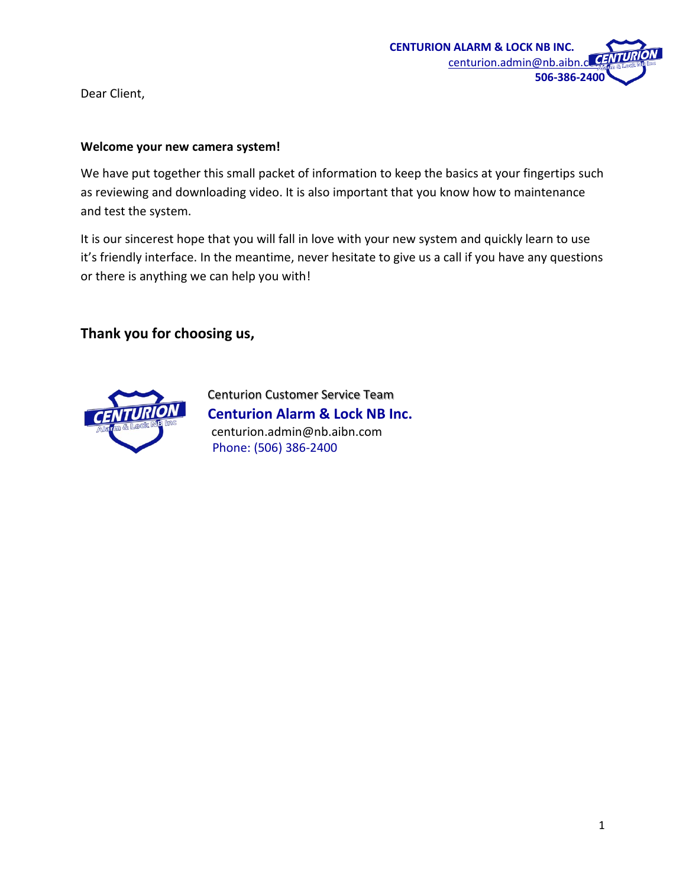

Dear Client,

#### **Welcome your new camera system!**

We have put together this small packet of information to keep the basics at your fingertips such as reviewing and downloading video. It is also important that you know how to maintenance and test the system.

It is our sincerest hope that you will fall in love with your new system and quickly learn to use it's friendly interface. In the meantime, never hesitate to give us a call if you have any questions or there is anything we can help you with!

**Thank you for choosing us,**



Centurion Customer Service Team  **Centurion Alarm & Lock NB Inc.** centurion.admin@nb.aibn.com Phone: (506) 386-2400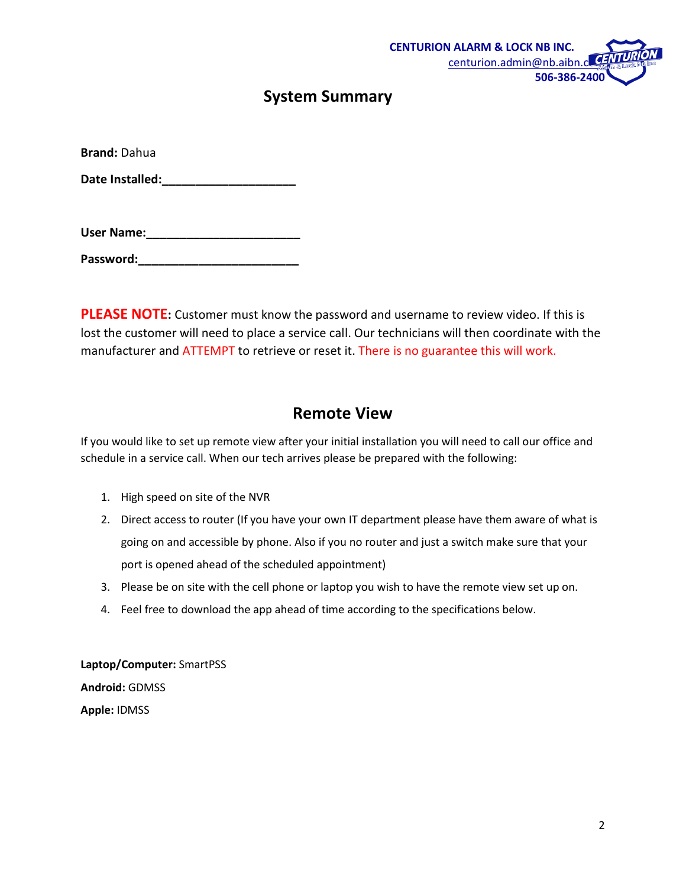

### **System Summary**

**Brand:** Dahua

Date Installed:

| User Name: |  |  |  |  |
|------------|--|--|--|--|
|            |  |  |  |  |

**Password:\_\_\_\_\_\_\_\_\_\_\_\_\_\_\_\_\_\_\_\_\_\_\_\_**

**PLEASE NOTE:** Customer must know the password and username to review video. If this is lost the customer will need to place a service call. Our technicians will then coordinate with the manufacturer and ATTEMPT to retrieve or reset it. There is no guarantee this will work.

#### **Remote View**

If you would like to set up remote view after your initial installation you will need to call our office and schedule in a service call. When our tech arrives please be prepared with the following:

- 1. High speed on site of the NVR
- 2. Direct access to router (If you have your own IT department please have them aware of what is going on and accessible by phone. Also if you no router and just a switch make sure that your port is opened ahead of the scheduled appointment)
- 3. Please be on site with the cell phone or laptop you wish to have the remote view set up on.
- 4. Feel free to download the app ahead of time according to the specifications below.

**Laptop/Computer:** SmartPSS **Android:** GDMSS **Apple:** IDMSS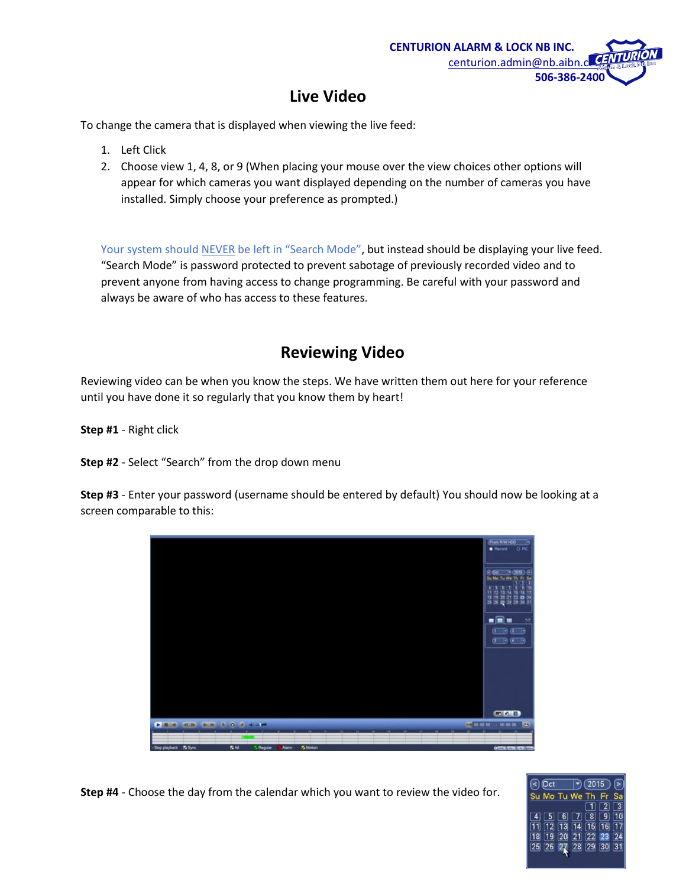

# **Live Video**

To change the camera that is displayed when viewing the live feed:

- 1. Left Click
- 2. Choose view 1, 4, 8, or 9 (When placing your mouse over the view choices other options will appear for which cameras you want displayed depending on the number of cameras you have installed. Simply choose your preference as prompted.)

Your system should NEVER be left in "Search Mode", but instead should be displaying your live feed. "Search Mode" is password protected to prevent sabotage of previously recorded video and to prevent anyone from having access to change programming. Be careful with your password and always be aware of who has access to these features.

## **Reviewing Video**

Reviewing video can be when you know the steps. We have written them out here for your reference until you have done it so regularly that you know them by heart!

**Step #1** - Right click

**Step #2** - Select "Search" from the drop down menu

**Step #3** - Enter your password (username should be entered by default) You should now be looking at a screen comparable to this:



**Step #4** - Choose the day from the calendar which you want to review the video for.

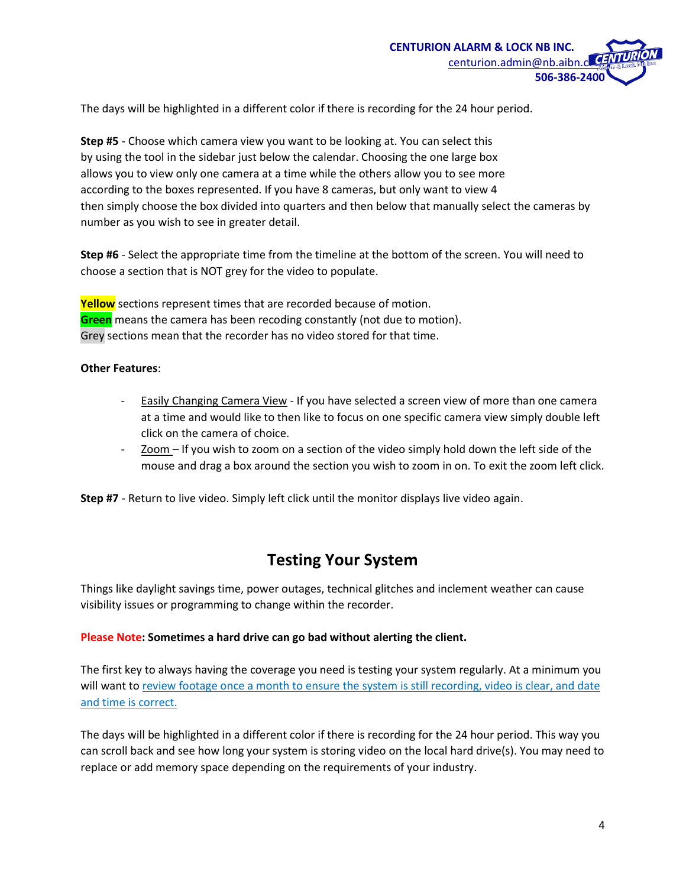

The days will be highlighted in a different color if there is recording for the 24 hour period.

**Step #5** - Choose which camera view you want to be looking at. You can select this by using the tool in the sidebar just below the calendar. Choosing the one large box allows you to view only one camera at a time while the others allow you to see more according to the boxes represented. If you have 8 cameras, but only want to view 4 then simply choose the box divided into quarters and then below that manually select the cameras by number as you wish to see in greater detail.

**Step #6** - Select the appropriate time from the timeline at the bottom of the screen. You will need to choose a section that is NOT grey for the video to populate.

**Yellow** sections represent times that are recorded because of motion. **Green** means the camera has been recoding constantly (not due to motion). Grey sections mean that the recorder has no video stored for that time.

#### **Other Features**:

- Easily Changing Camera View If you have selected a screen view of more than one camera at a time and would like to then like to focus on one specific camera view simply double left click on the camera of choice.
- $Zoom -$  If you wish to zoom on a section of the video simply hold down the left side of the mouse and drag a box around the section you wish to zoom in on. To exit the zoom left click.

**Step #7** - Return to live video. Simply left click until the monitor displays live video again.

### **Testing Your System**

Things like daylight savings time, power outages, technical glitches and inclement weather can cause visibility issues or programming to change within the recorder.

#### **Please Note: Sometimes a hard drive can go bad without alerting the client.**

The first key to always having the coverage you need is testing your system regularly. At a minimum you will want to review footage once a month to ensure the system is still recording, video is clear, and date and time is correct.

The days will be highlighted in a different color if there is recording for the 24 hour period. This way you can scroll back and see how long your system is storing video on the local hard drive(s). You may need to replace or add memory space depending on the requirements of your industry.